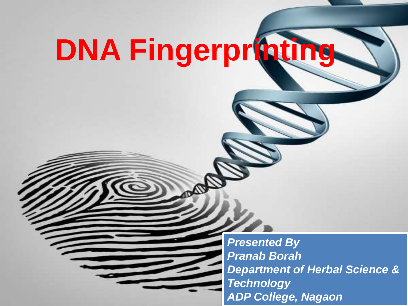# **DNA Fingerprinting**

*Presented By Pranab Borah Department of Herbal Science & Technology ADP College, Nagaon*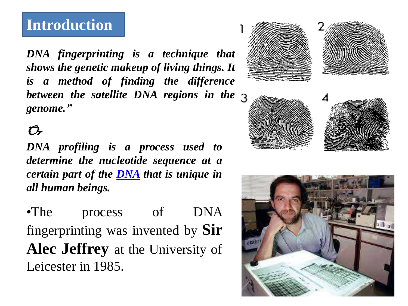### **Introduction**

*DNA fingerprinting is a technique that shows the genetic makeup of living things. It is a method of finding the difference between the satellite DNA regions in the genome."*

#### $\mathcal{O}_r$

*DNA profiling is a process used to determine the nucleotide sequence at a certain part of the [DNA](https://microbenotes.com/dna-structure-properties-types-and-functions/) that is unique in all human beings.*

•The process of DNA fingerprinting was invented by **Sir Alec Jeffrey** at the University of Leicester in 1985.





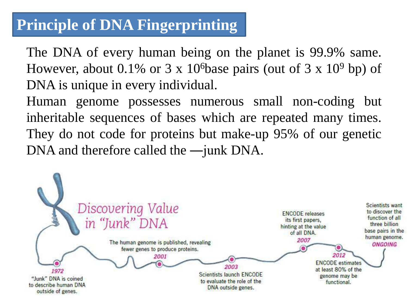## **Principle of DNA Fingerprinting**

The DNA of every human being on the planet is 99.9% same. However, about 0.1% or 3 x 10<sup>6</sup>base pairs (out of 3 x 10<sup>9</sup> bp) of DNA is unique in every individual.

Human genome possesses numerous small non-coding but inheritable sequences of bases which are repeated many times. They do not code for proteins but make-up 95% of our genetic DNA and therefore called the —junk DNA.

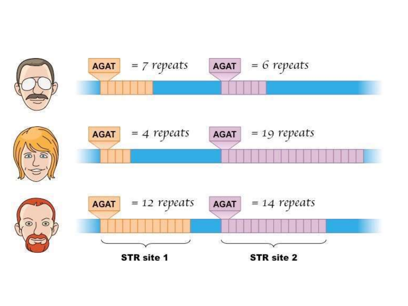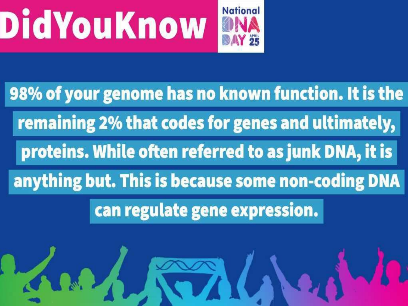





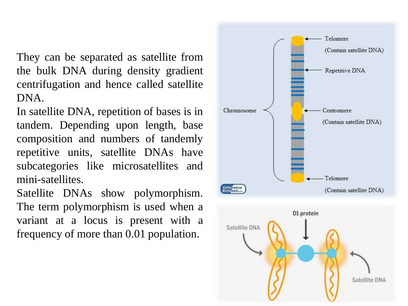They can be separated as satellite from the bulk DNA during density gradient centrifugation and hence called satellite DNA.

In satellite DNA, repetition of bases is in tandem. Depending upon length, base composition and numbers of tandemly repetitive units, satellite DNAs have subcategories like microsatellites and mini-satellites.

Satellite DNAs show polymorphism. The term polymorphism is used when a variant at a locus is present with a frequency of more than 0.01 population.

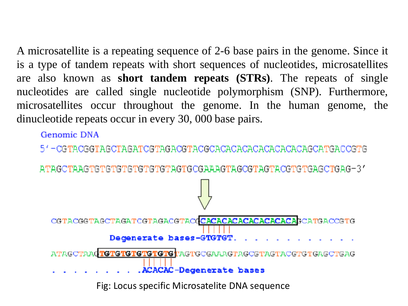A microsatellite is a repeating sequence of 2-6 base pairs in the genome. Since it is a type of tandem repeats with short sequences of nucleotides, microsatellites are also known as **short tandem repeats (STRs)**. The repeats of single nucleotides are called single nucleotide polymorphism (SNP). Furthermore, microsatellites occur throughout the genome. In the human genome, the dinucleotide repeats occur in every 30, 000 base pairs.

Genomic DNA

ATAGCTAAGTGTGTGTGTGTGTGTAGTGCGAAAGTAGCGTAGTACGTGTGAGCTGAG-3'

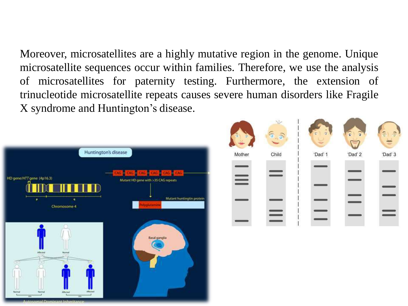Moreover, microsatellites are a highly mutative region in the genome. Unique microsatellite sequences occur within families. Therefore, we use the analysis of microsatellites for paternity testing. Furthermore, the extension of trinucleotide microsatellite repeats causes severe human disorders like Fragile X syndrome and Huntington's disease.



| Ð        |       | σ       | $\overline{\epsilon}$<br>$\overline{\bullet}$ |         |
|----------|-------|---------|-----------------------------------------------|---------|
| Mother   | Child | 'Dad' 1 | 'Dad' 2                                       | 'Dad' 3 |
| $\equiv$ |       |         |                                               |         |
|          |       |         |                                               |         |
|          |       |         |                                               |         |
|          |       |         |                                               |         |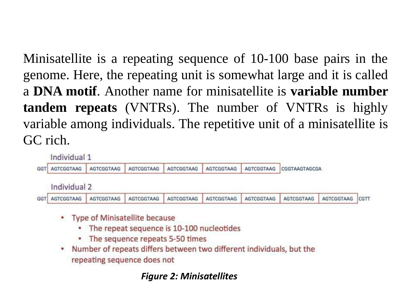Minisatellite is a repeating sequence of 10-100 base pairs in the genome. Here, the repeating unit is somewhat large and it is called a **DNA motif**. Another name for minisatellite is **variable number tandem repeats** (VNTRs). The number of VNTRs is highly variable among individuals. The repetitive unit of a minisatellite is GC rich.



- Type of Minisatellite because
	- The repeat sequence is 10-100 nucleotides ۰
	- The sequence repeats 5-50 times
- . Number of repeats differs between two different individuals, but the repeating sequence does not

#### *Figure 2: Minisatellites*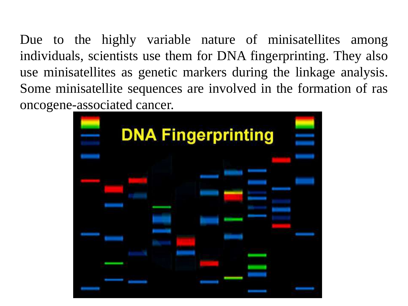Due to the highly variable nature of minisatellites among individuals, scientists use them for DNA fingerprinting. They also use minisatellites as genetic markers during the linkage analysis. Some minisatellite sequences are involved in the formation of ras oncogene-associated cancer.

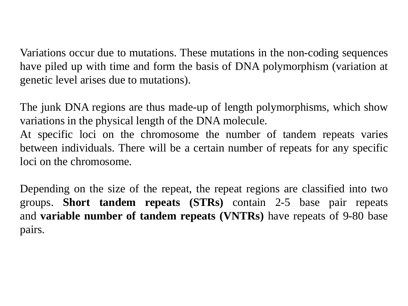Variations occur due to mutations. These mutations in the non-coding sequences have piled up with time and form the basis of DNA polymorphism (variation at genetic level arises due to mutations).

The junk DNA regions are thus made-up of length polymorphisms, which show variations in the physical length of the DNA molecule.

At specific loci on the chromosome the number of tandem repeats varies between individuals. There will be a certain number of repeats for any specific loci on the chromosome.

Depending on the size of the repeat, the repeat regions are classified into two groups. **Short tandem repeats (STRs)** contain 2-5 base pair repeats and **variable number of tandem repeats (VNTRs)** have repeats of 9-80 base pairs.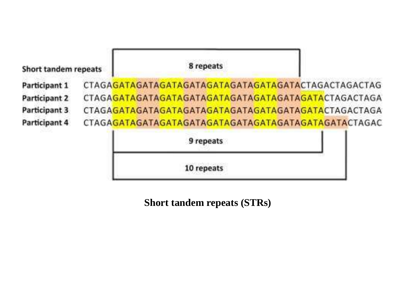

10 repeats

**Short tandem repeats (STRs)**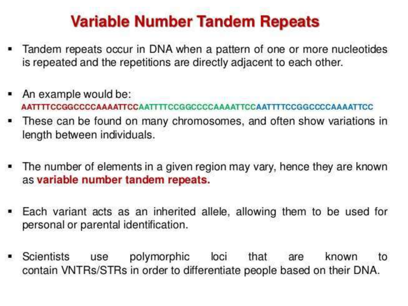## **Variable Number Tandem Repeats**

- Tandem repeats occur in DNA when a pattern of one or more nucleotides is repeated and the repetitions are directly adjacent to each other.
- An example would be: AATTTTCCGGCCCCCAAAATTCCAATTTTCCGGCCCCAAAATTCCAATTTTCCGGCCCCAAAATTCC
- These can be found on many chromosomes, and often show variations in length between individuals.
- The number of elements in a given region may vary, hence they are known as variable number tandem repeats.
- Each variant acts as an inherited allele, allowing them to be used for personal or parental identification.
- Scientists loci polymorphic that known use are to contain VNTRs/STRs in order to differentiate people based on their DNA.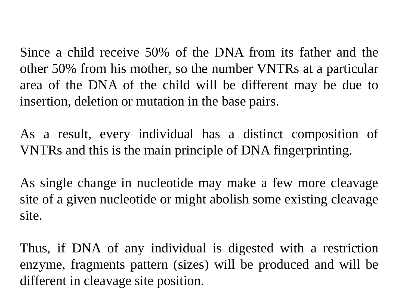Since a child receive 50% of the DNA from its father and the other 50% from his mother, so the number VNTRs at a particular area of the DNA of the child will be different may be due to insertion, deletion or mutation in the base pairs.

As a result, every individual has a distinct composition of VNTRs and this is the main principle of DNA fingerprinting.

As single change in nucleotide may make a few more cleavage site of a given nucleotide or might abolish some existing cleavage site.

Thus, if DNA of any individual is digested with a restriction enzyme, fragments pattern (sizes) will be produced and will be different in cleavage site position.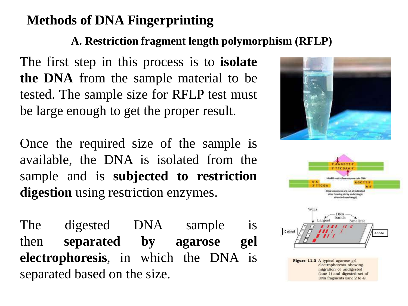#### **Methods of DNA Fingerprinting**

#### **A. Restriction fragment length polymorphism (RFLP)**

The first step in this process is to **isolate the DNA** from the sample material to be tested. The sample size for RFLP test must be large enough to get the proper result.

Once the required size of the sample is available, the DNA is isolated from the sample and is **subjected to restriction digestion** using restriction enzymes.

The digested DNA sample is then **separated by agarose gel electrophoresis**, in which the DNA is separated based on the size.







Figure 11.3 A typical agarose gel electrophoresis showing migration of undigested (lane 1) and digested set of DNA fragments (lane 2 to 4)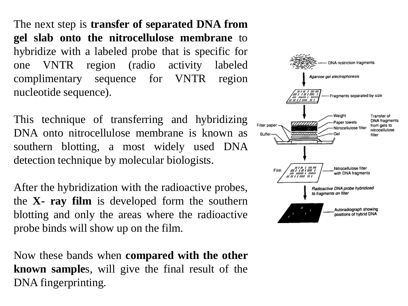The next step is **transfer of separated DNA from gel slab onto the nitrocellulose membrane** to hybridize with a labeled probe that is specific for one VNTR region (radio activity labeled complimentary sequence for VNTR region nucleotide sequence).

This technique of transferring and hybridizing DNA onto nitrocellulose membrane is known as southern blotting, a most widely used DNA detection technique by molecular biologists.

After the hybridization with the radioactive probes, the **X- ray film** is developed form the southern blotting and only the areas where the radioactive probe binds will show up on the film.

Now these bands when **compared with the other known sample**s, will give the final result of the DNA fingerprinting.

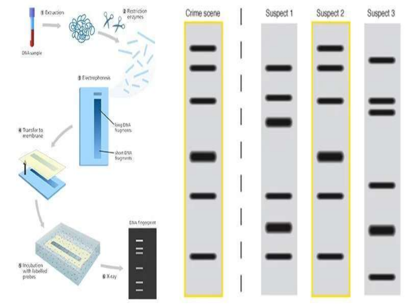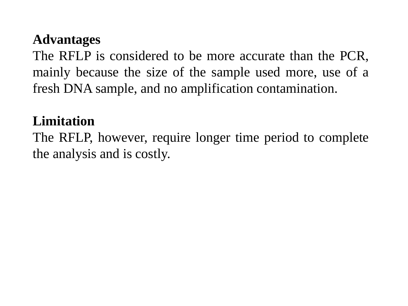#### **Advantages**

The RFLP is considered to be more accurate than the PCR, mainly because the size of the sample used more, use of a fresh DNA sample, and no amplification contamination.

#### **Limitation**

The RFLP, however, require longer time period to complete the analysis and is costly.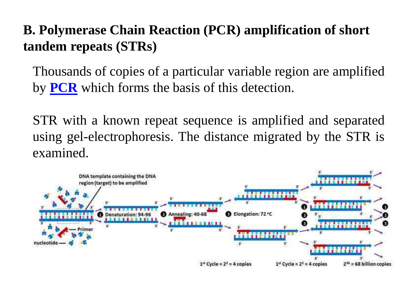### **B. Polymerase Chain Reaction (PCR) amplification of short tandem repeats (STRs)**

Thousands of copies of a particular variable region are amplified by **[PCR](https://microbenotes.com/polymerase-chain-reaction-pcr-principle-steps-applications/)** which forms the basis of this detection.

STR with a known repeat sequence is amplified and separated using gel-electrophoresis. The distance migrated by the STR is examined.

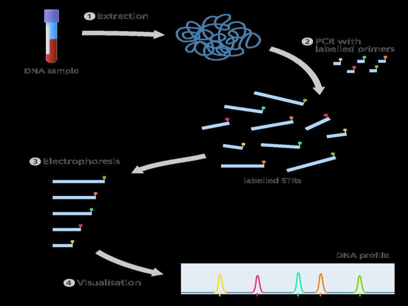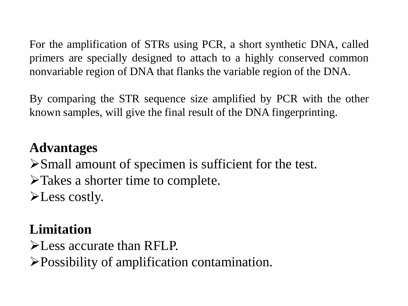For the amplification of STRs using PCR, a short synthetic DNA, called primers are specially designed to attach to a highly conserved common nonvariable region of DNA that flanks the variable region of the DNA.

By comparing the STR sequence size amplified by PCR with the other known samples, will give the final result of the DNA fingerprinting.

#### **Advantages**

Small amount of specimen is sufficient for the test. Takes a shorter time to complete. **E** Less costly.

## **Limitation**

**EXECUTE:** EXECUTATE than RFLP.

Possibility of amplification contamination.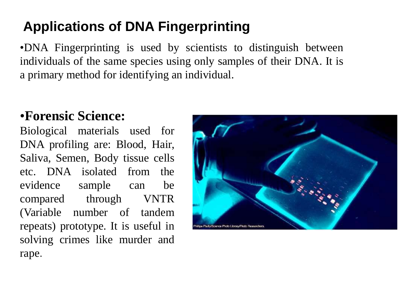## **Applications of DNA Fingerprinting**

•DNA Fingerprinting is used by scientists to distinguish between individuals of the same species using only samples of their DNA. It is a primary method for identifying an individual.

#### •**Forensic Science:**

Biological materials used for DNA profiling are: Blood, Hair, Saliva, Semen, Body tissue cells etc. DNA isolated from the evidence sample can be compared through VNTR (Variable number of tandem repeats) prototype. It is useful in solving crimes like murder and rape.

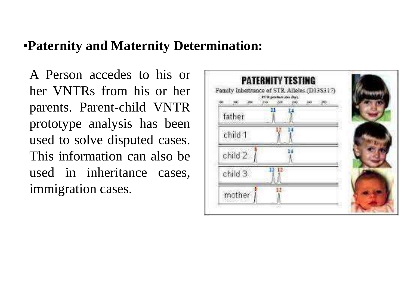#### •**Paternity and Maternity Determination:**

A Person accedes to his or her VNTRs from his or her parents. Parent-child VNTR prototype analysis has been used to solve disputed cases. This information can also be used in inheritance cases, immigration cases.

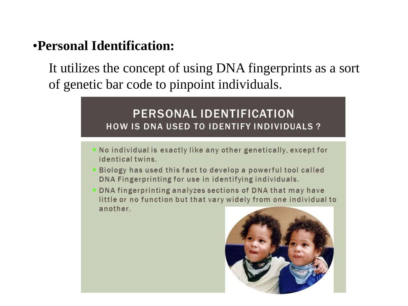#### •**Personal Identification:**

It utilizes the concept of using DNA fingerprints as a sort of genetic bar code to pinpoint individuals.

#### **PERSONAL IDENTIFICATION HOW IS DNA USED TO IDENTIFY INDIVIDUALS?**

- No individual is exactly like any other genetically, except for identical twins.
- Biology has used this fact to develop a powerful tool called DNA Fingerprinting for use in identifying individuals.
- DNA fingerprinting analyzes sections of DNA that may have little or no function but that vary widely from one individual to another.

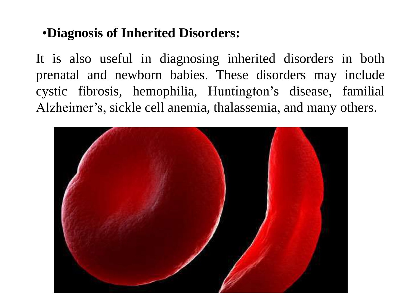#### •**Diagnosis of Inherited Disorders:**

It is also useful in diagnosing inherited disorders in both prenatal and newborn babies. These disorders may include cystic fibrosis, hemophilia, Huntington's disease, familial Alzheimer's, sickle cell anemia, thalassemia, and many others.

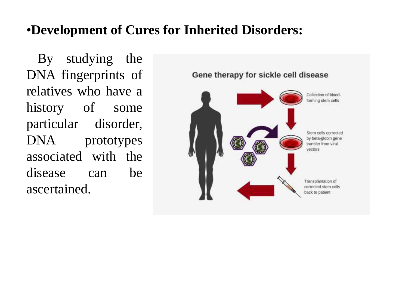#### •**Development of Cures for Inherited Disorders:**

By studying the DNA fingerprints of relatives who have a history of some particular disorder, DNA prototypes associated with the disease can be ascertained.

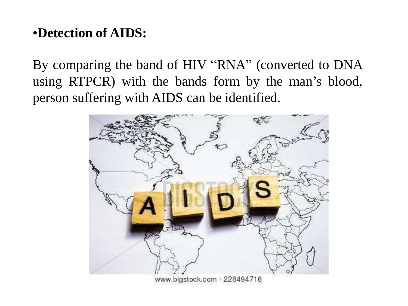#### •**Detection of AIDS:**

By comparing the band of HIV "RNA" (converted to DNA using RTPCR) with the bands form by the man's blood, person suffering with AIDS can be identified.



www.bigstock.com · 228494716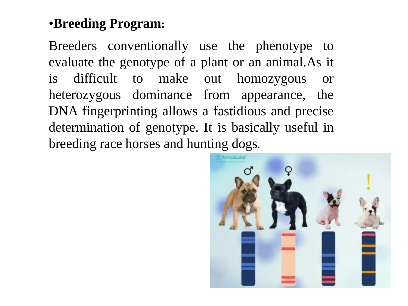#### •**Breeding Program:**

Breeders conventionally use the phenotype to evaluate the genotype of a plant or an animal.As it is difficult to make out homozygous or heterozygous dominance from appearance, the DNA fingerprinting allows a fastidious and precise determination of genotype. It is basically useful in breeding race horses and hunting dogs.

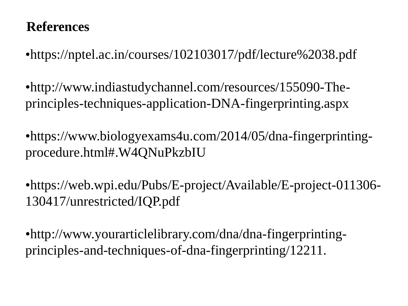#### **References**

•https://nptel.ac.in/courses/102103017/pdf/lecture%2038.pdf

•http://www.indiastudychannel.com/resources/155090-Theprinciples-techniques-application-DNA-fingerprinting.aspx

•https://www.biologyexams4u.com/2014/05/dna-fingerprintingprocedure.html#.W4QNuPkzbIU

•https://web.wpi.edu/Pubs/E-project/Available/E-project-011306- 130417/unrestricted/IQP.pdf

•http://www.yourarticlelibrary.com/dna/dna-fingerprintingprinciples-and-techniques-of-dna-fingerprinting/12211.